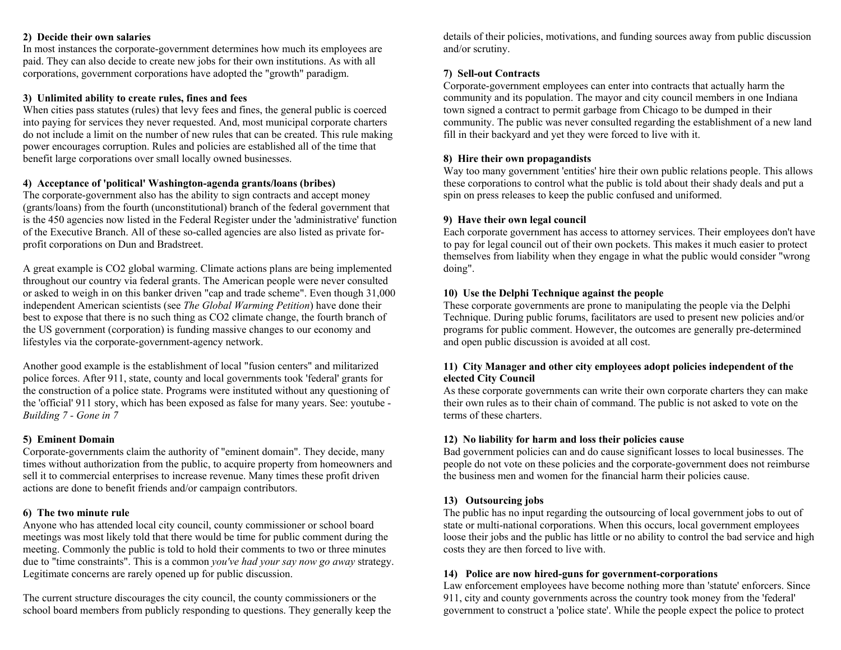#### **2) Decide their own salaries**

In most instances the corporate-government determines how much its employees are paid. They can also decide to create new jobs for their own institutions. As with all corporations, government corporations have adopted the "growth" paradigm.

#### **3) Unlimited ability to create rules, fines and fees**

When cities pass statutes (rules) that levy fees and fines, the general public is coerced into paying for services they never requested. And, most municipal corporate charters do not include a limit on the number of new rules that can be created. This rule making power encourages corruption. Rules and policies are established all of the time that benefit large corporations over small locally owned businesses.

#### **4) Acceptance of 'political' Washington-agenda grants/loans (bribes)**

The corporate-government also has the ability to sign contracts and accept money (grants/loans) from the fourth (unconstitutional) branch of the federal government that is the 450 agencies now listed in the Federal Register under the 'administrative' function of the Executive Branch. All of these so-called agencies are also listed as private forprofit corporations on Dun and Bradstreet.

A great example is CO2 global warming. Climate actions plans are being implemented throughout our country via federal grants. The American people were never consulted or asked to weigh in on this banker driven "cap and trade scheme". Even though 31,000 independent American scientists (see *The Global Warming Petition*) have done their best to expose that there is no such thing as CO2 climate change, the fourth branch of the US government (corporation) is funding massive changes to our economy and lifestyles via the corporate-government-agency network.

Another good example is the establishment of local "fusion centers" and militarized police forces. After 911, state, county and local governments took 'federal' grants for the construction of a police state. Programs were instituted without any questioning of the 'official' 911 story, which has been exposed as false for many years. See: youtube - *Building 7 - Gone in 7*

#### **5) Eminent Domain**

Corporate-governments claim the authority of "eminent domain". They decide, many times without authorization from the public, to acquire property from homeowners and sell it to commercial enterprises to increase revenue. Many times these profit driven actions are done to benefit friends and/or campaign contributors.

#### **6) The two minute rule**

Anyone who has attended local city council, county commissioner or school board meetings was most likely told that there would be time for public comment during the meeting. Commonly the public is told to hold their comments to two or three minutes due to "time constraints". This is a common *you've had your say now go away* strategy. Legitimate concerns are rarely opened up for public discussion.

The current structure discourages the city council, the county commissioners or the school board members from publicly responding to questions. They generally keep the details of their policies, motivations, and funding sources away from public discussion and/or scrutiny.

#### **7) Sell-out Contracts**

Corporate-government employees can enter into contracts that actually harm the community and its population. The mayor and city council members in one Indiana town signed a contract to permit garbage from Chicago to be dumped in their community. The public was never consulted regarding the establishment of a new land fill in their backyard and yet they were forced to live with it.

#### **8) Hire their own propagandists**

Way too many government 'entities' hire their own public relations people. This allows these corporations to control what the public is told about their shady deals and put a spin on press releases to keep the public confused and uniformed.

### **9) Have their own legal council**

Each corporate government has access to attorney services. Their employees don't have to pay for legal council out of their own pockets. This makes it much easier to protect themselves from liability when they engage in what the public would consider "wrong doing".

#### **10) Use the Delphi Technique against the people**

These corporate governments are prone to manipulating the people via the Delphi Technique. During public forums, facilitators are used to present new policies and/or programs for public comment. However, the outcomes are generally pre-determined and open public discussion is avoided at all cost.

#### **11) City Manager and other city employees adopt policies independent of the elected City Council**

As these corporate governments can write their own corporate charters they can make their own rules as to their chain of command. The public is not asked to vote on the terms of these charters.

#### **12) No liability for harm and loss their policies cause**

Bad government policies can and do cause significant losses to local businesses. The people do not vote on these policies and the corporate-government does not reimburse the business men and women for the financial harm their policies cause.

#### **13) Outsourcing jobs**

The public has no input regarding the outsourcing of local government jobs to out of state or multi-national corporations. When this occurs, local government employees loose their jobs and the public has little or no ability to control the bad service and high costs they are then forced to live with.

#### **14) Police are now hired-guns for government-corporations**

Law enforcement employees have become nothing more than 'statute' enforcers. Since 911, city and county governments across the country took money from the 'federal' government to construct a 'police state'. While the people expect the police to protect